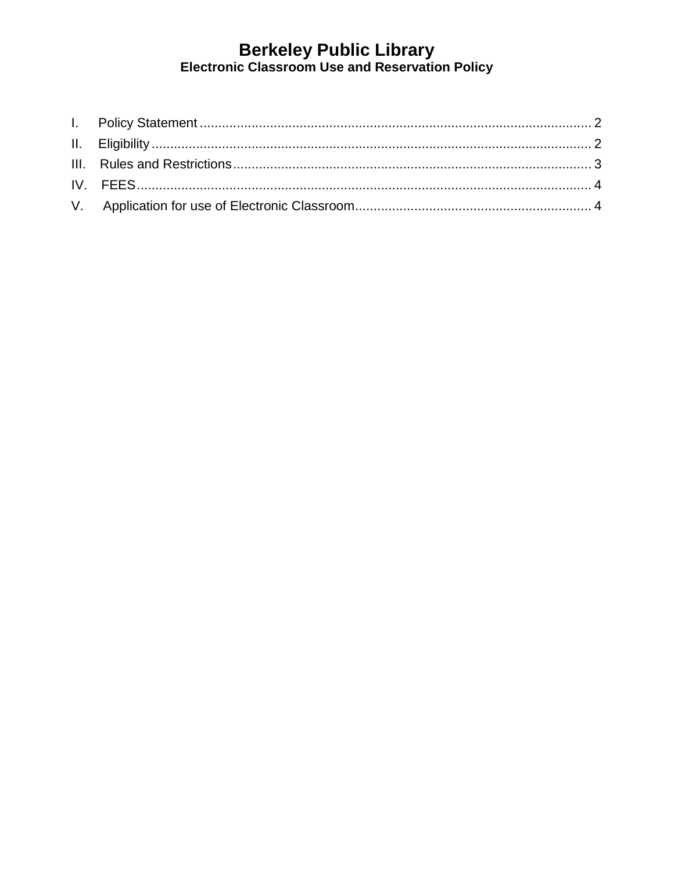# Berkeley Public Library<br>Electronic Classroom Use and Reservation Policy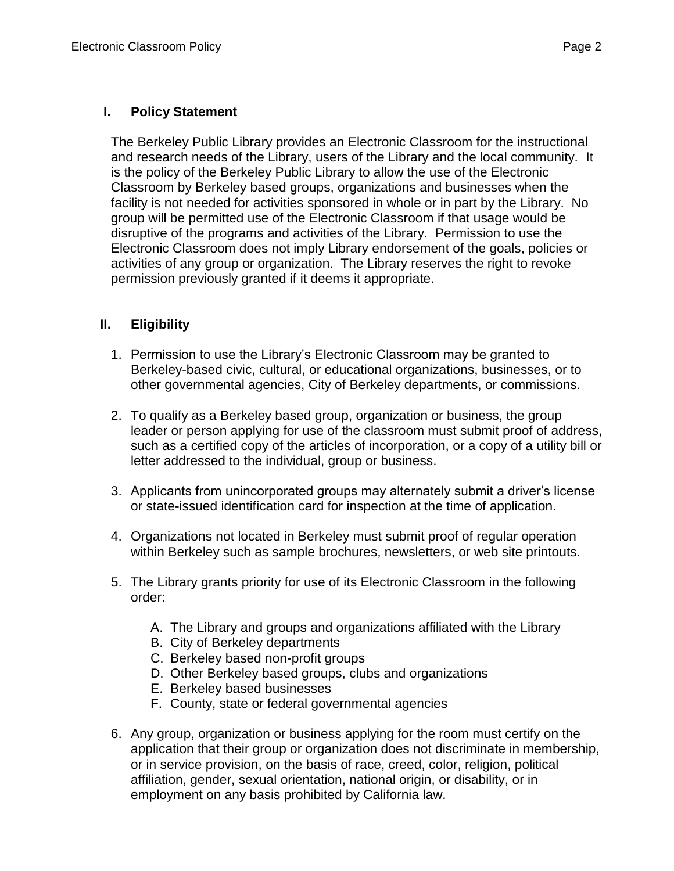### <span id="page-1-0"></span>**I. Policy Statement**

The Berkeley Public Library provides an Electronic Classroom for the instructional and research needs of the Library, users of the Library and the local community. It is the policy of the Berkeley Public Library to allow the use of the Electronic Classroom by Berkeley based groups, organizations and businesses when the facility is not needed for activities sponsored in whole or in part by the Library. No group will be permitted use of the Electronic Classroom if that usage would be disruptive of the programs and activities of the Library. Permission to use the Electronic Classroom does not imply Library endorsement of the goals, policies or activities of any group or organization. The Library reserves the right to revoke permission previously granted if it deems it appropriate.

# <span id="page-1-1"></span>**II. Eligibility**

- 1. Permission to use the Library's Electronic Classroom may be granted to Berkeley-based civic, cultural, or educational organizations, businesses, or to other governmental agencies, City of Berkeley departments, or commissions.
- 2. To qualify as a Berkeley based group, organization or business, the group leader or person applying for use of the classroom must submit proof of address, such as a certified copy of the articles of incorporation, or a copy of a utility bill or letter addressed to the individual, group or business.
- 3. Applicants from unincorporated groups may alternately submit a driver's license or state-issued identification card for inspection at the time of application.
- 4. Organizations not located in Berkeley must submit proof of regular operation within Berkeley such as sample brochures, newsletters, or web site printouts.
- 5. The Library grants priority for use of its Electronic Classroom in the following order:
	- A. The Library and groups and organizations affiliated with the Library
	- B. City of Berkeley departments
	- C. Berkeley based non-profit groups
	- D. Other Berkeley based groups, clubs and organizations
	- E. Berkeley based businesses
	- F. County, state or federal governmental agencies
- 6. Any group, organization or business applying for the room must certify on the application that their group or organization does not discriminate in membership, or in service provision, on the basis of race, creed, color, religion, political affiliation, gender, sexual orientation, national origin, or disability, or in employment on any basis prohibited by California law.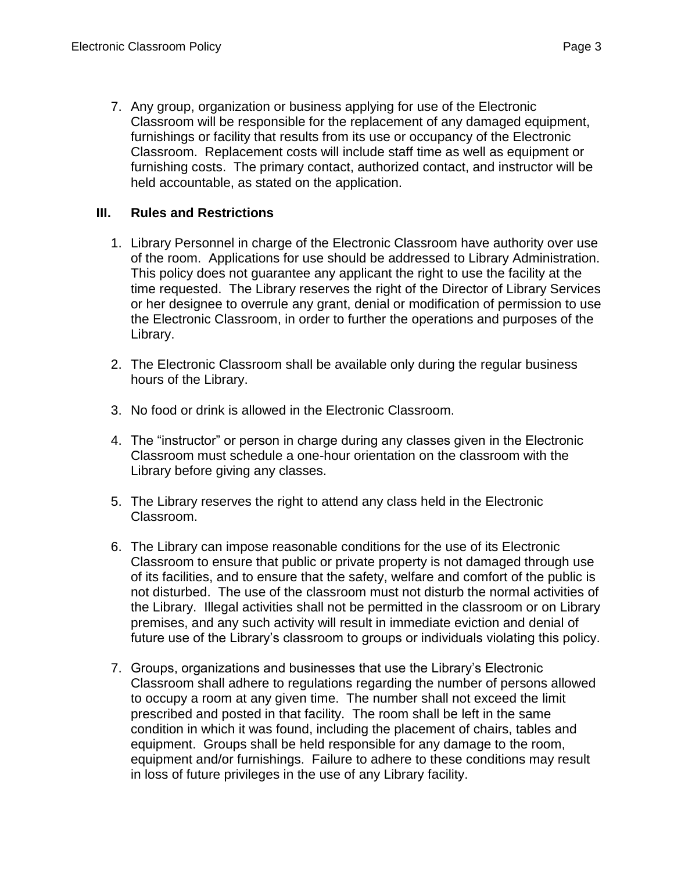7. Any group, organization or business applying for use of the Electronic Classroom will be responsible for the replacement of any damaged equipment, furnishings or facility that results from its use or occupancy of the Electronic Classroom. Replacement costs will include staff time as well as equipment or furnishing costs. The primary contact, authorized contact, and instructor will be held accountable, as stated on the application.

#### <span id="page-2-0"></span>**III. Rules and Restrictions**

- 1. Library Personnel in charge of the Electronic Classroom have authority over use of the room. Applications for use should be addressed to Library Administration. This policy does not guarantee any applicant the right to use the facility at the time requested. The Library reserves the right of the Director of Library Services or her designee to overrule any grant, denial or modification of permission to use the Electronic Classroom, in order to further the operations and purposes of the Library.
- 2. The Electronic Classroom shall be available only during the regular business hours of the Library.
- 3. No food or drink is allowed in the Electronic Classroom.
- 4. The "instructor" or person in charge during any classes given in the Electronic Classroom must schedule a one-hour orientation on the classroom with the Library before giving any classes.
- 5. The Library reserves the right to attend any class held in the Electronic Classroom.
- 6. The Library can impose reasonable conditions for the use of its Electronic Classroom to ensure that public or private property is not damaged through use of its facilities, and to ensure that the safety, welfare and comfort of the public is not disturbed. The use of the classroom must not disturb the normal activities of the Library. Illegal activities shall not be permitted in the classroom or on Library premises, and any such activity will result in immediate eviction and denial of future use of the Library's classroom to groups or individuals violating this policy.
- 7. Groups, organizations and businesses that use the Library's Electronic Classroom shall adhere to regulations regarding the number of persons allowed to occupy a room at any given time. The number shall not exceed the limit prescribed and posted in that facility. The room shall be left in the same condition in which it was found, including the placement of chairs, tables and equipment. Groups shall be held responsible for any damage to the room, equipment and/or furnishings. Failure to adhere to these conditions may result in loss of future privileges in the use of any Library facility.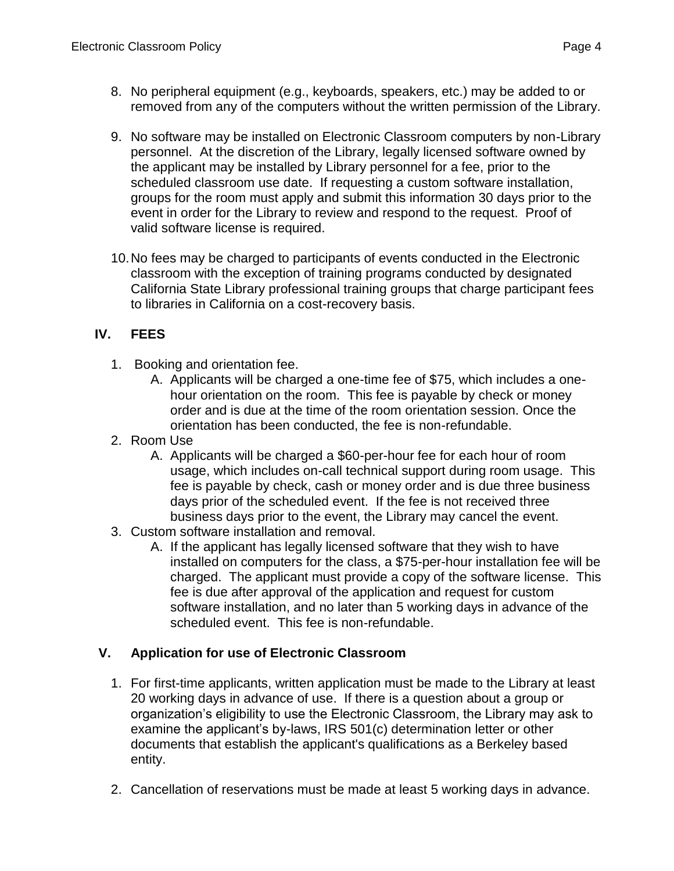- 8. No peripheral equipment (e.g., keyboards, speakers, etc.) may be added to or removed from any of the computers without the written permission of the Library.
- 9. No software may be installed on Electronic Classroom computers by non-Library personnel. At the discretion of the Library, legally licensed software owned by the applicant may be installed by Library personnel for a fee, prior to the scheduled classroom use date. If requesting a custom software installation, groups for the room must apply and submit this information 30 days prior to the event in order for the Library to review and respond to the request. Proof of valid software license is required.
- 10.No fees may be charged to participants of events conducted in the Electronic classroom with the exception of training programs conducted by designated California State Library professional training groups that charge participant fees to libraries in California on a cost-recovery basis.

# <span id="page-3-0"></span>**IV. FEES**

- 1. Booking and orientation fee.
	- A. Applicants will be charged a one-time fee of \$75, which includes a onehour orientation on the room. This fee is payable by check or money order and is due at the time of the room orientation session. Once the orientation has been conducted, the fee is non-refundable.
- 2. Room Use
	- A. Applicants will be charged a \$60-per-hour fee for each hour of room usage, which includes on-call technical support during room usage. This fee is payable by check, cash or money order and is due three business days prior of the scheduled event. If the fee is not received three business days prior to the event, the Library may cancel the event.
- 3. Custom software installation and removal.
	- A. If the applicant has legally licensed software that they wish to have installed on computers for the class, a \$75-per-hour installation fee will be charged. The applicant must provide a copy of the software license. This fee is due after approval of the application and request for custom software installation, and no later than 5 working days in advance of the scheduled event. This fee is non-refundable.

# <span id="page-3-1"></span>**V. Application for use of Electronic Classroom**

- 1. For first-time applicants, written application must be made to the Library at least 20 working days in advance of use. If there is a question about a group or organization's eligibility to use the Electronic Classroom, the Library may ask to examine the applicant's by-laws, IRS 501(c) determination letter or other documents that establish the applicant's qualifications as a Berkeley based entity.
- 2. Cancellation of reservations must be made at least 5 working days in advance.